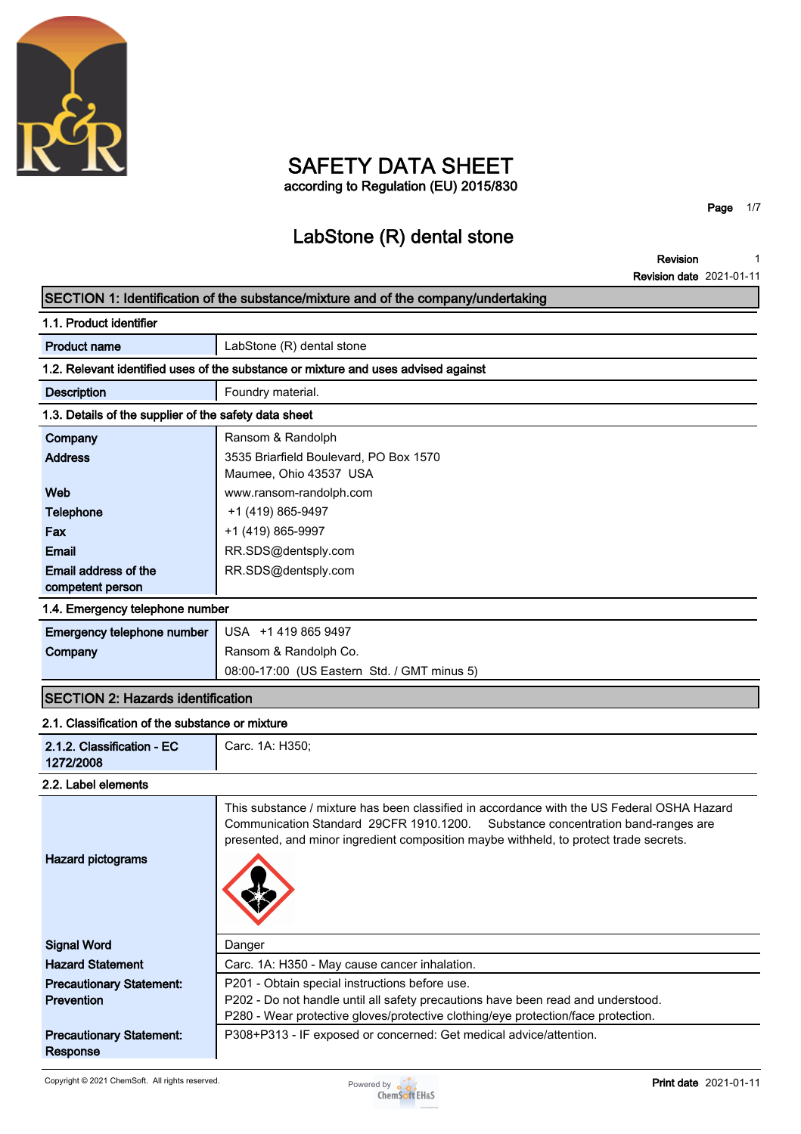

## **SAFETY DATA SHEET according to Regulation (EU) 2015/830**

**Page 1/7**

# **LabStone (R) dental stone**

**Revision Revision date 2021-01-11 1**

## **SECTION 1: Identification of the substance/mixture and of the company/undertaking**

| 1.1. Product identifier                               |                                                                                    |
|-------------------------------------------------------|------------------------------------------------------------------------------------|
| <b>Product name</b>                                   | LabStone (R) dental stone                                                          |
|                                                       | 1.2. Relevant identified uses of the substance or mixture and uses advised against |
| <b>Description</b>                                    | Foundry material.                                                                  |
| 1.3. Details of the supplier of the safety data sheet |                                                                                    |
| Company                                               | Ransom & Randolph                                                                  |
| <b>Address</b>                                        | 3535 Briarfield Boulevard, PO Box 1570                                             |
|                                                       | Maumee, Ohio 43537 USA                                                             |
| Web                                                   | www.ransom-randolph.com                                                            |
| <b>Telephone</b>                                      | +1 (419) 865-9497                                                                  |
| Fax                                                   | +1 (419) 865-9997                                                                  |
| <b>Email</b>                                          | RR.SDS@dentsply.com                                                                |
| Email address of the                                  | RR.SDS@dentsply.com                                                                |
| competent person                                      |                                                                                    |
| 1.4. Emergency telephone number                       |                                                                                    |

| Emergency telephone number   USA +14198659497 |                                             |
|-----------------------------------------------|---------------------------------------------|
| Company                                       | Ransom & Randolph Co.                       |
|                                               | 08:00-17:00 (US Eastern Std. / GMT minus 5) |

## **SECTION 2: Hazards identification**

### **2.1. Classification of the substance or mixture**

| 2.1.2. Classification - EC<br>1272/2008              | Carc. 1A: H350;                                                                                                                                                                                                                                                        |
|------------------------------------------------------|------------------------------------------------------------------------------------------------------------------------------------------------------------------------------------------------------------------------------------------------------------------------|
| 2.2. Label elements                                  |                                                                                                                                                                                                                                                                        |
| <b>Hazard pictograms</b>                             | This substance / mixture has been classified in accordance with the US Federal OSHA Hazard<br>Communication Standard 29CFR 1910.1200. Substance concentration band-ranges are<br>presented, and minor ingredient composition maybe withheld, to protect trade secrets. |
| <b>Signal Word</b>                                   | Danger                                                                                                                                                                                                                                                                 |
| <b>Hazard Statement</b>                              | Carc. 1A: H350 - May cause cancer inhalation.                                                                                                                                                                                                                          |
| <b>Precautionary Statement:</b><br><b>Prevention</b> | P201 - Obtain special instructions before use.<br>P202 - Do not handle until all safety precautions have been read and understood.<br>P280 - Wear protective gloves/protective clothing/eye protection/face protection.                                                |
| <b>Precautionary Statement:</b><br>Response          | P308+P313 - IF exposed or concerned: Get medical advice/attention.                                                                                                                                                                                                     |

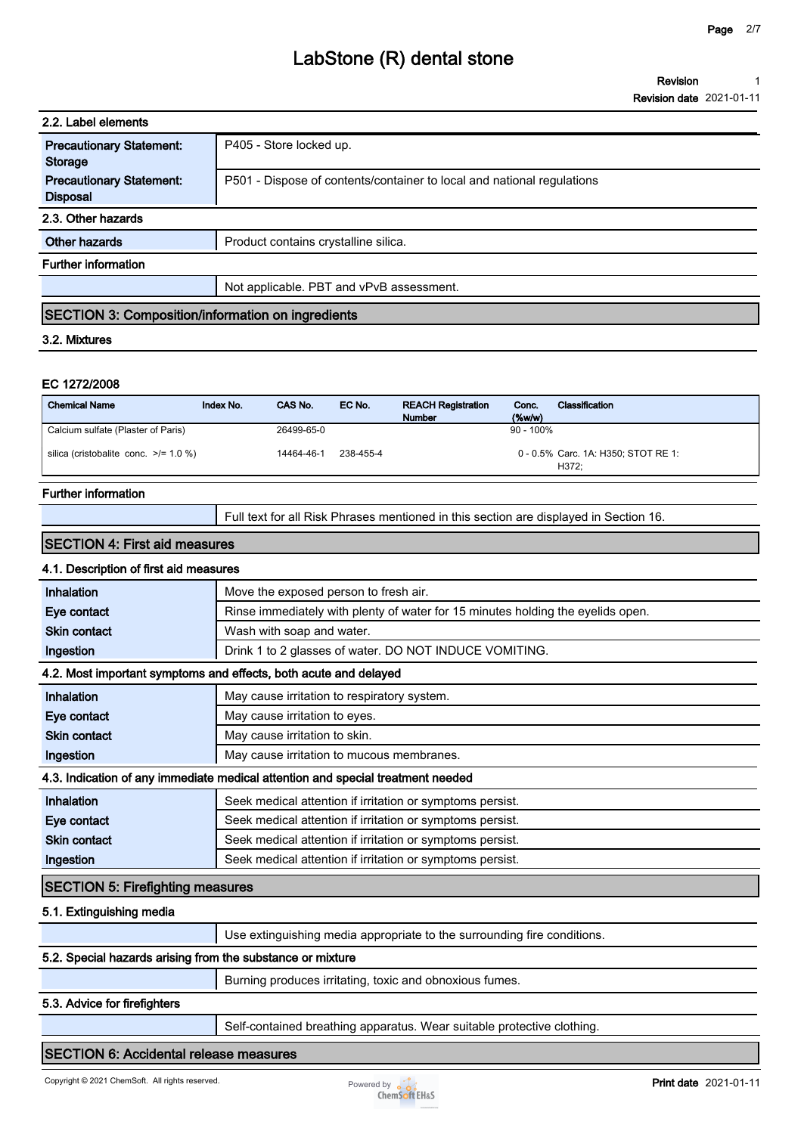| 2.2. Label elements                                      |                                                                        |
|----------------------------------------------------------|------------------------------------------------------------------------|
| <b>Precautionary Statement:</b><br><b>Storage</b>        | P405 - Store locked up.                                                |
| <b>Precautionary Statement:</b><br><b>Disposal</b>       | P501 - Dispose of contents/container to local and national regulations |
| 2.3. Other hazards                                       |                                                                        |
| Other hazards                                            | Product contains crystalline silica.                                   |
| <b>Further information</b>                               |                                                                        |
|                                                          | Not applicable. PBT and vPvB assessment.                               |
| <b>SECTION 3: Composition/information on ingredients</b> |                                                                        |
| 3.2. Mixtures                                            |                                                                        |
|                                                          |                                                                        |
| EC 1272/2008                                             |                                                                        |

## **Chemical Name Index No. CAS No. EC No. REACH Registration Number Conc. (%w/w) Classification Calcium sulfate (Plaster of Paris) 26499-65-0 90 - 100% silica (cristobalite conc. >/= 1.0 %) 14464-46-1 238-455-4 Carc. 1A: H350; STOT RE 1: 0 - 0.5% H372;**

#### **Further information**

**Full text for all Risk Phrases mentioned in this section are displayed in Section 16.**

#### **SECTION 4: First aid measures**

### **4.1. Description of first aid measures**

| Inhalation                                                                      | Move the exposed person to fresh air.                                           |  |
|---------------------------------------------------------------------------------|---------------------------------------------------------------------------------|--|
| Eye contact                                                                     | Rinse immediately with plenty of water for 15 minutes holding the eyelids open. |  |
| <b>Skin contact</b>                                                             | Wash with soap and water.                                                       |  |
| Ingestion                                                                       | Drink 1 to 2 glasses of water. DO NOT INDUCE VOMITING.                          |  |
| 4.2. Most important symptoms and effects, both acute and delayed                |                                                                                 |  |
| Inhalation                                                                      | May cause irritation to respiratory system.                                     |  |
| Eye contact                                                                     | May cause irritation to eyes.                                                   |  |
| <b>Skin contact</b>                                                             | May cause irritation to skin.                                                   |  |
| Ingestion                                                                       | May cause irritation to mucous membranes.                                       |  |
| 4.3. Indication of any immediate medical attention and special treatment needed |                                                                                 |  |
| <b>Inhalation</b>                                                               | Seek medical attention if irritation or symptoms persist.                       |  |
| Eye contact                                                                     | Seek medical attention if irritation or symptoms persist.                       |  |
| <b>Skin contact</b>                                                             | Seek medical attention if irritation or symptoms persist.                       |  |
| Ingestion                                                                       | Seek medical attention if irritation or symptoms persist.                       |  |
| <b>SECTION 5: Firefighting measures</b>                                         |                                                                                 |  |

#### **5.1. Extinguishing media**

|                                                            | Use extinguishing media appropriate to the surrounding fire conditions. |
|------------------------------------------------------------|-------------------------------------------------------------------------|
| 5.2. Special hazards arising from the substance or mixture |                                                                         |
|                                                            | Burning produces irritating, toxic and obnoxious fumes.                 |

#### **5.3. Advice for firefighters**

**Self-contained breathing apparatus. Wear suitable protective clothing.**

#### **SECTION 6: Accidental release measures**

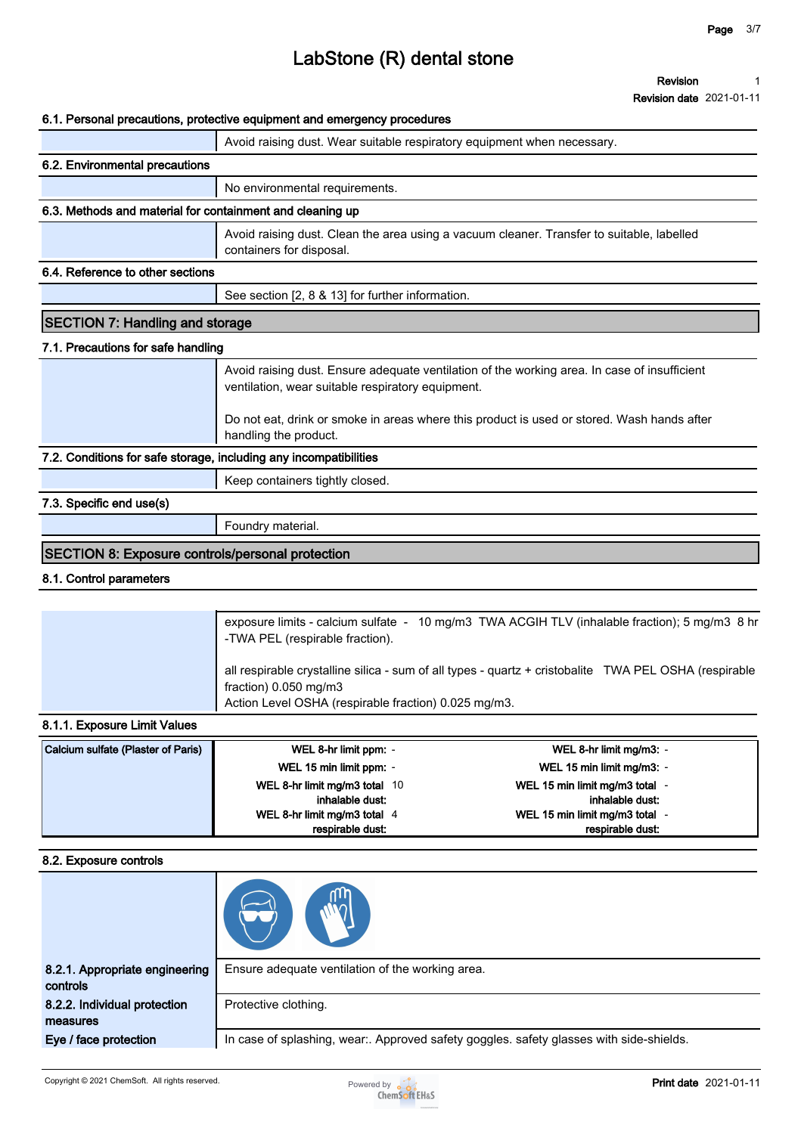**Revision date 2021-01-11**

#### **6.1. Personal precautions, protective equipment and emergency procedures**

|                                                                   | v. i. r cisoliai precautions, protective equipment and emergency procedures                                                                       |  |
|-------------------------------------------------------------------|---------------------------------------------------------------------------------------------------------------------------------------------------|--|
|                                                                   | Avoid raising dust. Wear suitable respiratory equipment when necessary.                                                                           |  |
| 6.2. Environmental precautions                                    |                                                                                                                                                   |  |
|                                                                   | No environmental requirements.                                                                                                                    |  |
| 6.3. Methods and material for containment and cleaning up         |                                                                                                                                                   |  |
|                                                                   | Avoid raising dust. Clean the area using a vacuum cleaner. Transfer to suitable, labelled<br>containers for disposal.                             |  |
| 6.4. Reference to other sections                                  |                                                                                                                                                   |  |
|                                                                   | See section [2, 8 & 13] for further information.                                                                                                  |  |
| <b>SECTION 7: Handling and storage</b>                            |                                                                                                                                                   |  |
| 7.1. Precautions for safe handling                                |                                                                                                                                                   |  |
|                                                                   | Avoid raising dust. Ensure adequate ventilation of the working area. In case of insufficient<br>ventilation, wear suitable respiratory equipment. |  |
|                                                                   | Do not eat, drink or smoke in areas where this product is used or stored. Wash hands after<br>handling the product.                               |  |
| 7.2. Conditions for safe storage, including any incompatibilities |                                                                                                                                                   |  |
|                                                                   | Keep containers tightly closed.                                                                                                                   |  |
| 7.3. Specific end use(s)                                          |                                                                                                                                                   |  |
|                                                                   | Foundry material.                                                                                                                                 |  |
| SECTION 8: Exposure controls/personal protection                  |                                                                                                                                                   |  |

#### **8.1. Control parameters**

| all respirable crystalline silica - sum of all types - quartz + cristobalite TWA PEL OSHA (respirable<br>fraction) $0.050$ mg/m3<br>Action Level OSHA (respirable fraction) 0.025 mg/m3. | exposure limits - calcium sulfate - 10 mg/m3 TWA ACGIH TLV (inhalable fraction); 5 mg/m3 8 hr<br>-TWA PEL (respirable fraction). |
|------------------------------------------------------------------------------------------------------------------------------------------------------------------------------------------|----------------------------------------------------------------------------------------------------------------------------------|
|                                                                                                                                                                                          |                                                                                                                                  |

#### **8.1.1. Exposure Limit Values**

| Calcium sulfate (Plaster of Paris) | WEL 8-hr limit ppm: -         | WEL 8-hr limit mg/m3: -      |
|------------------------------------|-------------------------------|------------------------------|
|                                    | WEL 15 min limit ppm: -       | WEL 15 min limit mg/m3: -    |
|                                    | WEL 8-hr limit mg/m3 total 10 | WEL 15 min limit mg/m3 total |
|                                    | inhalable dust:               | inhalable dust:              |
|                                    | WEL 8-hr limit mg/m3 total 4  | WEL 15 min limit mg/m3 total |
|                                    | respirable dust:              | respirable dust:             |

#### **8.2. Exposure controls**

| 8.2.1. Appropriate engineering<br>controls | Ensure adequate ventilation of the working area.                                        |
|--------------------------------------------|-----------------------------------------------------------------------------------------|
| 8.2.2. Individual protection<br>measures   | Protective clothing.                                                                    |
| Eye / face protection                      | In case of splashing, wear:. Approved safety goggles. safety glasses with side-shields. |

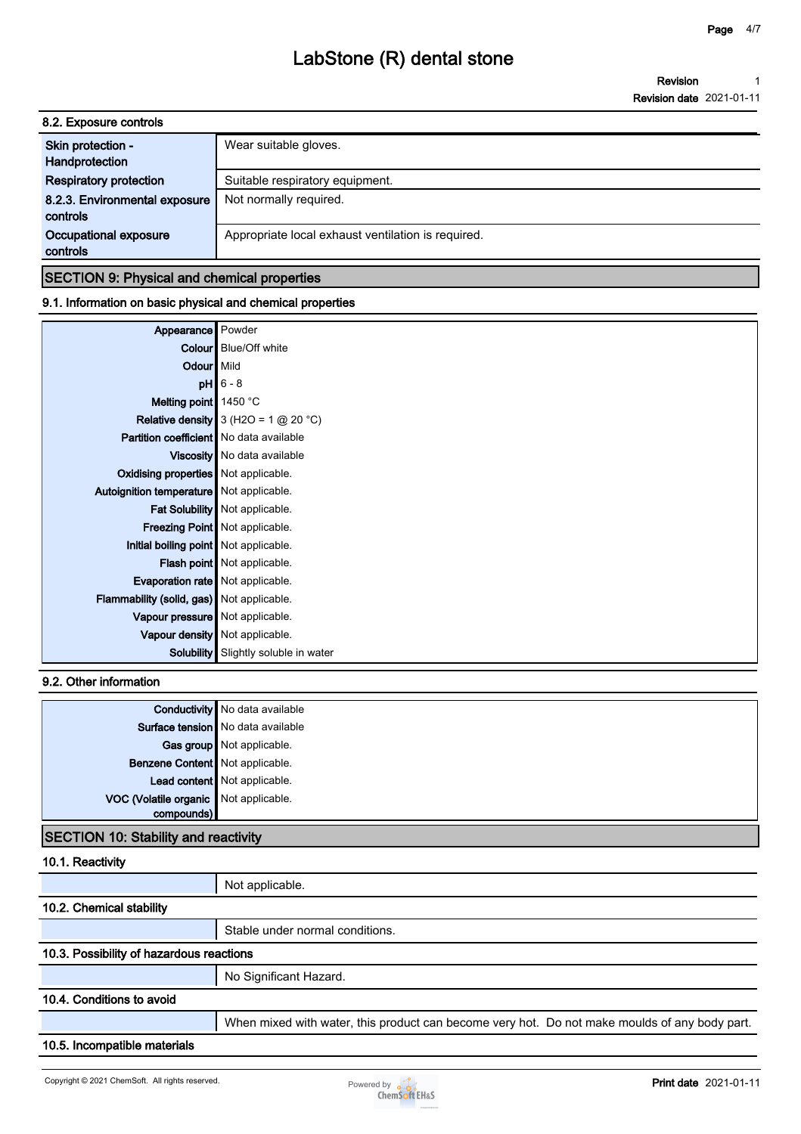**Revision Revision date 2021-01-11 1**

| 8.2. Exposure controls                    |                                                    |
|-------------------------------------------|----------------------------------------------------|
| Skin protection -<br>Handprotection       | Wear suitable gloves.                              |
| <b>Respiratory protection</b>             | Suitable respiratory equipment.                    |
| 8.2.3. Environmental exposure<br>controls | Not normally required.                             |
| Occupational exposure<br>controls         | Appropriate local exhaust ventilation is required. |
|                                           |                                                    |

### **SECTION 9: Physical and chemical properties**

### **9.1. Information on basic physical and chemical properties**

| Appearance                                     | Powder                                 |
|------------------------------------------------|----------------------------------------|
|                                                | <b>Colour</b> Blue/Off white           |
| Odour Mild                                     |                                        |
|                                                | $pH$ 6 - 8                             |
| Melting point   1450 °C                        |                                        |
|                                                | Relative density $3 (H2O = 1 @ 20 °C)$ |
| <b>Partition coefficient</b> No data available |                                        |
|                                                | Viscosity   No data available          |
| Oxidising properties   Not applicable.         |                                        |
| Autoignition temperature   Not applicable.     |                                        |
|                                                | Fat Solubility   Not applicable.       |
|                                                | <b>Freezing Point</b> Not applicable.  |
| Initial boiling point   Not applicable.        |                                        |
|                                                | Flash point Not applicable.            |
| Evaporation rate   Not applicable.             |                                        |
| Flammability (solid, gas) Not applicable.      |                                        |
| Vapour pressure   Not applicable.              |                                        |
|                                                | Vapour density   Not applicable.       |
| Solubility                                     | Slightly soluble in water              |

### **9.2. Other information**

|                                       | <b>Conductivity</b> No data available |
|---------------------------------------|---------------------------------------|
|                                       | Surface tension   No data available   |
|                                       | Gas group Not applicable.             |
| Benzene Content   Not applicable.     |                                       |
|                                       | Lead content   Not applicable.        |
| VOC (Volatile organic Not applicable. |                                       |
| compounds)                            |                                       |
|                                       |                                       |

### **SECTION 10: Stability and reactivity**

### **10.1. Reactivity**

|                                          | Not applicable.                                                                               |
|------------------------------------------|-----------------------------------------------------------------------------------------------|
| 10.2. Chemical stability                 |                                                                                               |
|                                          | Stable under normal conditions.                                                               |
| 10.3. Possibility of hazardous reactions |                                                                                               |
|                                          | No Significant Hazard.                                                                        |
| 10.4. Conditions to avoid                |                                                                                               |
|                                          | When mixed with water, this product can become very hot. Do not make moulds of any body part. |
| 10.5. Incompatible materials             |                                                                                               |
|                                          |                                                                                               |

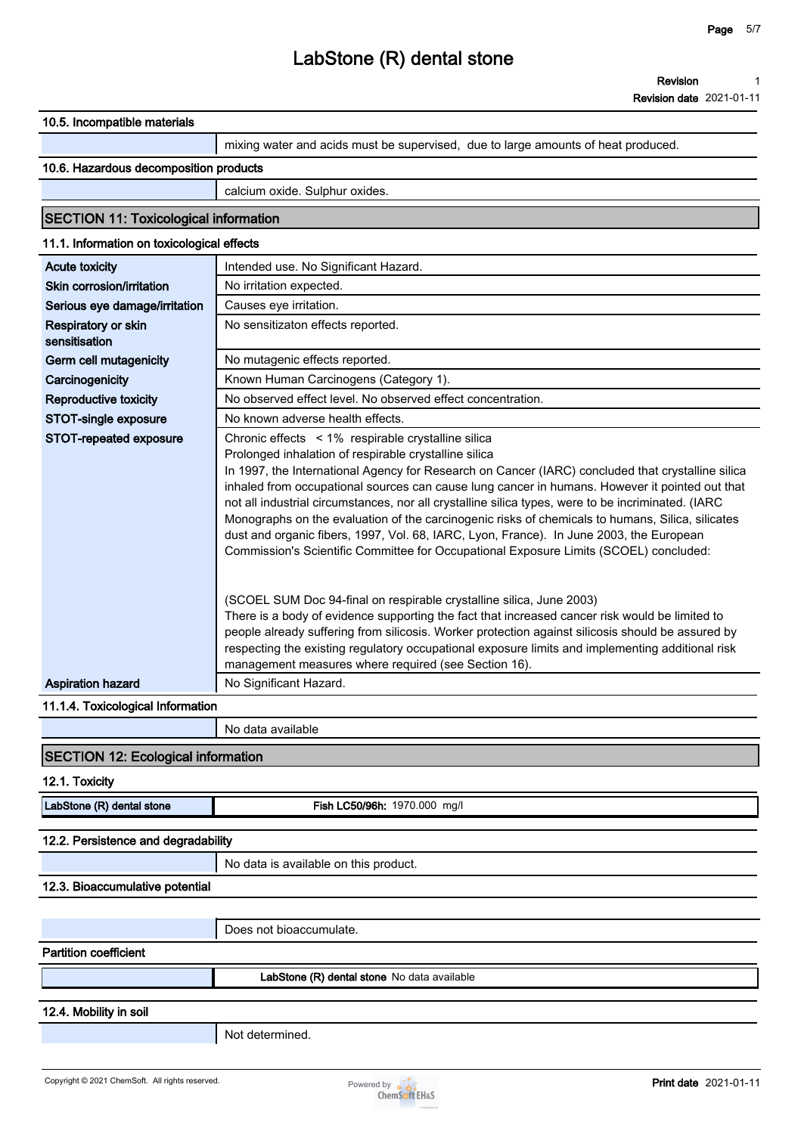**Revision date 2021-01-11**

| 10.5. Incompatible materials                 |                                                                                                                                                                                                                                                                                                                                                                                                                                                                                                                                                                                                                                                            |
|----------------------------------------------|------------------------------------------------------------------------------------------------------------------------------------------------------------------------------------------------------------------------------------------------------------------------------------------------------------------------------------------------------------------------------------------------------------------------------------------------------------------------------------------------------------------------------------------------------------------------------------------------------------------------------------------------------------|
|                                              | mixing water and acids must be supervised, due to large amounts of heat produced.                                                                                                                                                                                                                                                                                                                                                                                                                                                                                                                                                                          |
| 10.6. Hazardous decomposition products       |                                                                                                                                                                                                                                                                                                                                                                                                                                                                                                                                                                                                                                                            |
|                                              | calcium oxide. Sulphur oxides.                                                                                                                                                                                                                                                                                                                                                                                                                                                                                                                                                                                                                             |
| <b>SECTION 11: Toxicological information</b> |                                                                                                                                                                                                                                                                                                                                                                                                                                                                                                                                                                                                                                                            |
| 11.1. Information on toxicological effects   |                                                                                                                                                                                                                                                                                                                                                                                                                                                                                                                                                                                                                                                            |
| <b>Acute toxicity</b>                        | Intended use. No Significant Hazard.                                                                                                                                                                                                                                                                                                                                                                                                                                                                                                                                                                                                                       |
| Skin corrosion/irritation                    | No irritation expected.                                                                                                                                                                                                                                                                                                                                                                                                                                                                                                                                                                                                                                    |
| Serious eye damage/irritation                | Causes eye irritation.                                                                                                                                                                                                                                                                                                                                                                                                                                                                                                                                                                                                                                     |
| Respiratory or skin<br>sensitisation         | No sensitizaton effects reported.                                                                                                                                                                                                                                                                                                                                                                                                                                                                                                                                                                                                                          |
| Germ cell mutagenicity                       | No mutagenic effects reported.                                                                                                                                                                                                                                                                                                                                                                                                                                                                                                                                                                                                                             |
| Carcinogenicity                              | Known Human Carcinogens (Category 1).                                                                                                                                                                                                                                                                                                                                                                                                                                                                                                                                                                                                                      |
| Reproductive toxicity                        | No observed effect level. No observed effect concentration.                                                                                                                                                                                                                                                                                                                                                                                                                                                                                                                                                                                                |
| STOT-single exposure                         | No known adverse health effects.                                                                                                                                                                                                                                                                                                                                                                                                                                                                                                                                                                                                                           |
| STOT-repeated exposure                       | Chronic effects < 1% respirable crystalline silica                                                                                                                                                                                                                                                                                                                                                                                                                                                                                                                                                                                                         |
|                                              | Prolonged inhalation of respirable crystalline silica<br>In 1997, the International Agency for Research on Cancer (IARC) concluded that crystalline silica<br>inhaled from occupational sources can cause lung cancer in humans. However it pointed out that<br>not all industrial circumstances, nor all crystalline silica types, were to be incriminated. (IARC<br>Monographs on the evaluation of the carcinogenic risks of chemicals to humans, Silica, silicates<br>dust and organic fibers, 1997, Vol. 68, IARC, Lyon, France). In June 2003, the European<br>Commission's Scientific Committee for Occupational Exposure Limits (SCOEL) concluded: |
|                                              | (SCOEL SUM Doc 94-final on respirable crystalline silica, June 2003)<br>There is a body of evidence supporting the fact that increased cancer risk would be limited to<br>people already suffering from silicosis. Worker protection against silicosis should be assured by<br>respecting the existing regulatory occupational exposure limits and implementing additional risk<br>management measures where required (see Section 16).                                                                                                                                                                                                                    |
| <b>Aspiration hazard</b>                     | No Significant Hazard.                                                                                                                                                                                                                                                                                                                                                                                                                                                                                                                                                                                                                                     |
| 11.1.4. Toxicological Information            |                                                                                                                                                                                                                                                                                                                                                                                                                                                                                                                                                                                                                                                            |
|                                              | No data available                                                                                                                                                                                                                                                                                                                                                                                                                                                                                                                                                                                                                                          |
| <b>SECTION 12: Ecological information</b>    |                                                                                                                                                                                                                                                                                                                                                                                                                                                                                                                                                                                                                                                            |
| 12.1. Toxicity                               |                                                                                                                                                                                                                                                                                                                                                                                                                                                                                                                                                                                                                                                            |
| LabStone (R) dental stone                    | Fish LC50/96h: 1970.000 mg/l                                                                                                                                                                                                                                                                                                                                                                                                                                                                                                                                                                                                                               |
| 12.2. Persistence and degradability          |                                                                                                                                                                                                                                                                                                                                                                                                                                                                                                                                                                                                                                                            |
|                                              | No data is available on this product.                                                                                                                                                                                                                                                                                                                                                                                                                                                                                                                                                                                                                      |
| 12.3. Bioaccumulative potential              |                                                                                                                                                                                                                                                                                                                                                                                                                                                                                                                                                                                                                                                            |
|                                              |                                                                                                                                                                                                                                                                                                                                                                                                                                                                                                                                                                                                                                                            |
|                                              | Does not bioaccumulate.                                                                                                                                                                                                                                                                                                                                                                                                                                                                                                                                                                                                                                    |
| <b>Partition coefficient</b>                 |                                                                                                                                                                                                                                                                                                                                                                                                                                                                                                                                                                                                                                                            |
|                                              | LabStone (R) dental stone No data available                                                                                                                                                                                                                                                                                                                                                                                                                                                                                                                                                                                                                |
| 12.4. Mobility in soil                       |                                                                                                                                                                                                                                                                                                                                                                                                                                                                                                                                                                                                                                                            |
|                                              | Not determined.                                                                                                                                                                                                                                                                                                                                                                                                                                                                                                                                                                                                                                            |
|                                              |                                                                                                                                                                                                                                                                                                                                                                                                                                                                                                                                                                                                                                                            |
|                                              |                                                                                                                                                                                                                                                                                                                                                                                                                                                                                                                                                                                                                                                            |

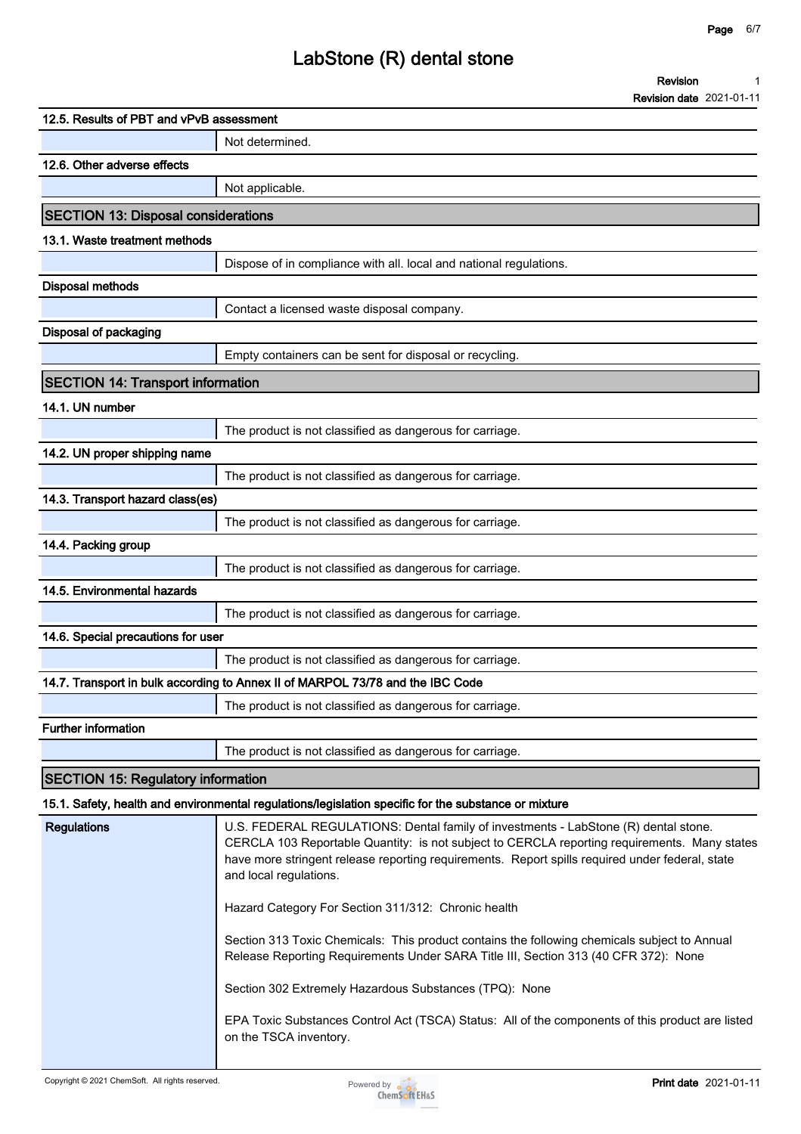## **LabStone (R) dental stone**

|                                            | Revision                                                                                                                                                                                                                                                                                                         |
|--------------------------------------------|------------------------------------------------------------------------------------------------------------------------------------------------------------------------------------------------------------------------------------------------------------------------------------------------------------------|
|                                            | <b>Revision date 2021-01-11</b>                                                                                                                                                                                                                                                                                  |
| 12.5. Results of PBT and vPvB assessment   |                                                                                                                                                                                                                                                                                                                  |
|                                            | Not determined.                                                                                                                                                                                                                                                                                                  |
| 12.6. Other adverse effects                |                                                                                                                                                                                                                                                                                                                  |
|                                            | Not applicable.                                                                                                                                                                                                                                                                                                  |
| <b>SECTION 13: Disposal considerations</b> |                                                                                                                                                                                                                                                                                                                  |
| 13.1. Waste treatment methods              |                                                                                                                                                                                                                                                                                                                  |
|                                            | Dispose of in compliance with all. local and national regulations.                                                                                                                                                                                                                                               |
| <b>Disposal methods</b>                    |                                                                                                                                                                                                                                                                                                                  |
|                                            | Contact a licensed waste disposal company.                                                                                                                                                                                                                                                                       |
| Disposal of packaging                      |                                                                                                                                                                                                                                                                                                                  |
|                                            | Empty containers can be sent for disposal or recycling.                                                                                                                                                                                                                                                          |
| <b>SECTION 14: Transport information</b>   |                                                                                                                                                                                                                                                                                                                  |
| 14.1. UN number                            |                                                                                                                                                                                                                                                                                                                  |
|                                            | The product is not classified as dangerous for carriage.                                                                                                                                                                                                                                                         |
| 14.2. UN proper shipping name              |                                                                                                                                                                                                                                                                                                                  |
|                                            | The product is not classified as dangerous for carriage.                                                                                                                                                                                                                                                         |
| 14.3. Transport hazard class(es)           |                                                                                                                                                                                                                                                                                                                  |
|                                            | The product is not classified as dangerous for carriage.                                                                                                                                                                                                                                                         |
| 14.4. Packing group                        |                                                                                                                                                                                                                                                                                                                  |
|                                            | The product is not classified as dangerous for carriage.                                                                                                                                                                                                                                                         |
| 14.5. Environmental hazards                |                                                                                                                                                                                                                                                                                                                  |
|                                            | The product is not classified as dangerous for carriage.                                                                                                                                                                                                                                                         |
| 14.6. Special precautions for user         |                                                                                                                                                                                                                                                                                                                  |
|                                            | The product is not classified as dangerous for carriage.                                                                                                                                                                                                                                                         |
|                                            | 14.7. Transport in bulk according to Annex II of MARPOL 73/78 and the IBC Code                                                                                                                                                                                                                                   |
|                                            | The product is not classified as dangerous for carriage.                                                                                                                                                                                                                                                         |
| <b>Further information</b>                 |                                                                                                                                                                                                                                                                                                                  |
|                                            | The product is not classified as dangerous for carriage.                                                                                                                                                                                                                                                         |
| <b>SECTION 15: Regulatory information</b>  |                                                                                                                                                                                                                                                                                                                  |
|                                            | 15.1. Safety, health and environmental regulations/legislation specific for the substance or mixture                                                                                                                                                                                                             |
| <b>Regulations</b>                         | U.S. FEDERAL REGULATIONS: Dental family of investments - LabStone (R) dental stone.<br>CERCLA 103 Reportable Quantity: is not subject to CERCLA reporting requirements. Many states<br>have more stringent release reporting requirements. Report spills required under federal, state<br>and local regulations. |
|                                            | Hazard Category For Section 311/312: Chronic health                                                                                                                                                                                                                                                              |
|                                            | Section 313 Toxic Chemicals: This product contains the following chemicals subject to Annual<br>Release Reporting Requirements Under SARA Title III, Section 313 (40 CFR 372): None                                                                                                                              |
|                                            |                                                                                                                                                                                                                                                                                                                  |

**Section 302 Extremely Hazardous Substances (TPQ): None**

**EPA Toxic Substances Control Act (TSCA) Status: All of the components of this product are listed on the TSCA inventory.**